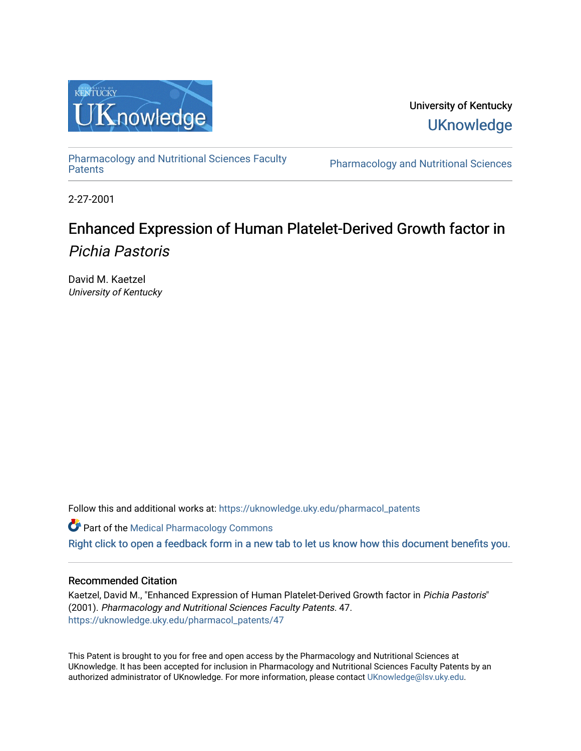

University of Kentucky **UKnowledge** 

[Pharmacology and Nutritional Sciences Faculty](https://uknowledge.uky.edu/pharmacol_patents)

Pharmacology and Nutritional Sciences

2-27-2001

# Enhanced Expression of Human Platelet-Derived Growth factor in Pichia Pastoris

David M. Kaetzel University of Kentucky

Follow this and additional works at: [https://uknowledge.uky.edu/pharmacol\\_patents](https://uknowledge.uky.edu/pharmacol_patents?utm_source=uknowledge.uky.edu%2Fpharmacol_patents%2F47&utm_medium=PDF&utm_campaign=PDFCoverPages) 

Part of the [Medical Pharmacology Commons](http://network.bepress.com/hgg/discipline/960?utm_source=uknowledge.uky.edu%2Fpharmacol_patents%2F47&utm_medium=PDF&utm_campaign=PDFCoverPages) 

[Right click to open a feedback form in a new tab to let us know how this document benefits you.](https://uky.az1.qualtrics.com/jfe/form/SV_9mq8fx2GnONRfz7)

## Recommended Citation

Kaetzel, David M., "Enhanced Expression of Human Platelet-Derived Growth factor in Pichia Pastoris" (2001). Pharmacology and Nutritional Sciences Faculty Patents. 47. [https://uknowledge.uky.edu/pharmacol\\_patents/47](https://uknowledge.uky.edu/pharmacol_patents/47?utm_source=uknowledge.uky.edu%2Fpharmacol_patents%2F47&utm_medium=PDF&utm_campaign=PDFCoverPages) 

This Patent is brought to you for free and open access by the Pharmacology and Nutritional Sciences at UKnowledge. It has been accepted for inclusion in Pharmacology and Nutritional Sciences Faculty Patents by an authorized administrator of UKnowledge. For more information, please contact [UKnowledge@lsv.uky.edu](mailto:UKnowledge@lsv.uky.edu).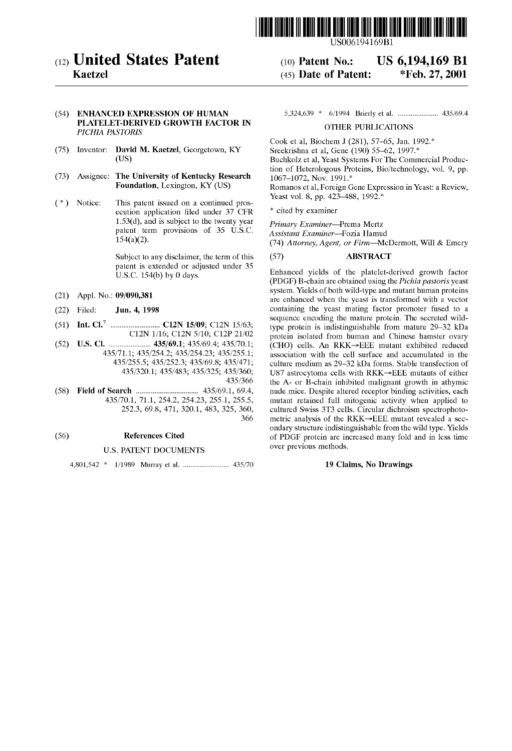

(12) **United States Patent** (10) Patent No.: US 6,194,169 B1<br>Kaetzel (45) Date of Patent: \*Feb. 27, 2001

# PLATELET-DERIVED GROWTH FACTOR IN PICHIA PASTORIS<br>PICHIA PASTORIS

- (75) Inventor: David M. Kaetzel, Georgetown, KY  $(US)$
- (73) Assignee: The University of Kentucky Research Foundation, Lexington, KY (US)
- Notice: This patent issued on a continued pros-<br>Neast vol. 8, pp. 423–488, 1992.\* (\*) Notice: This patent issued on a continued pros ecution application filed under  $37$  CFR  $*$  cited by examiner 1.53(d), and is subject to the twenty year  $\frac{P \cdot \text{P}}{P \cdot \text{P}}$  Primary Examiner—Prema Mertz patent term provisions of 35 U.S.C. A sejetant Examiner—Fozia Hamud patent term provisions of 35 U.S.C. Assistant Examiner—Fozia Hamud<br>154(a)(2). (74) Attornay Agent or Firm—Mo

Subject to any disclaimer, the term of this (57) ABSTRACT patent is extended or adjusted under 35

- 
- 
- 
- $(52)$

#### U.S. PATENT DOCUMENTS

4,801,542 \* 1/1989 Murray et al. ....................... .. 435/70 19 Claims, N0 Drawings

(54) ENHANCED EXPRESSION OF HUMAN 5,324,639 \* 6/1994 Brierly et al. ............................... 435/69.4

Cook et al, Biochem J (281), 57—65, Jan. 1992.\* Buchkolz et al, Yeast Systems For The Commercial Production of Heterologous Proteins, Bio/technology, vol. 9, pp. 1067–1072, Nov. 1991.\* Romanos et al, Foreign Gene Expression in Yeast: a Review,

 $(45)$  Date of Patent:

(74) Attorney, Agent, or Firm-McDermott, Will & Emery

U.S.C. 154(b) by 0 days.<br>Enhanced yields of the platelet-derived growth factor (PDGF) B-chain are obtained using the Pichia pastoris yeast system. Yields of both Wild-type and mutant human proteins (21) Appl. No.: 09/090,381 system. The interest of both which year and mutant numan proteins are enhanced when the yeast is transformed with a vector (22) Filed; Jun\_ 4, 1998 containing the yeast mating factor promoter fused to a 7 sequence encoding the mature protein. The secreted Wild (512) CL2N 15/09; C12N 15/63; type protein is indistinguishable from mature 29–32 kDa.<br>C12N 1/16; C12N 5/10; C12P 21/02 protein isolated from human and Chinese hamster ovary C12N 1/16; C12N 5/10; C121) 21/02 protein isolated from human and Chinese hamster ovary U-S- Cl- ..................... .. Ce11s\_ An mutant reduced 5/71.1; 435/254.2; 435/254.23; 435/255.1; association with the cell surface and accumulated in the 435/255.5; 435/252.3; 435/69.8; 435/471; culture medium as 29–32 kDa forms. Stable transfection of  $435/255.5$ ;  $435/252.3$ ;  $435/69.8$ ;  $435/471$ ; culture medium as 29–32 kDa forms. Stable transfection of  $435/320.1$ ;  $435/483$ ;  $435/320.5$ ;  $435/360$ ; U87 astrocytoma cells with RKK $\rightarrow$ EEE mutants of either  $435/360$ ; U87 astrocytoma cells with RKK $\rightarrow$ EEE mutants of either  $435/366$  the A- or B-chain inhibited malionant growth in athymic 435/366 the A- or B-chain inhibited malignant groWth in athymic (58) Field of Search  $\frac{435}{70.1}$ ,  $\frac{71.1}{254.2}$ ,  $\frac{254.23}{254.23}$ ,  $\frac{255.1}{255.5}$ , mutant retained full mitogenic activity when applied to 70.1, 71.1, 254.2, 254.23, 255.1, 255.5, mutant retained full mitogenic activity when applied to 252.3, 69.8, 471, 320.1, 483, 325, 360, cultured Swiss 3T3 cells. Circular dichroism spectrophoto-250, cultured Swiss 3T3 cells. Circular dichroism spectrophoto-<br>266 metric analysis of the RKK→EEE mutant revealed a secmetric analysis of the  $RKK \rightarrow EEE$  mutant revealed a secondary structure indistinguishable from the Wild type. Yields (56) References Cited of PDGF protein are increased many fold and in less time<br>U.S. PATENT DOCUMENTS over previous methods.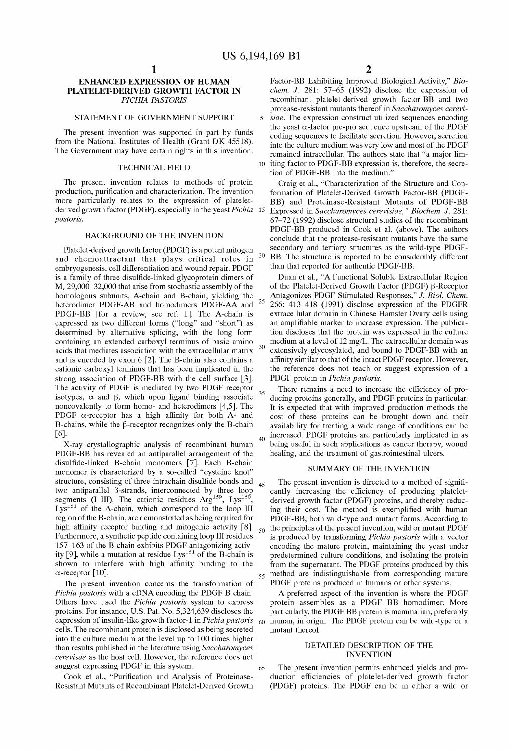$20\,$ 

 $30$ 

35

### ENHANCED EXPRESSION OF HUMAN PLATELET-DERIVED GROWTH FACTOR IN PICHIA PASTORIS

### STATEMENT OF GOVERNMENT SUPPORT

The present invention Was supported in part by funds from the National Institutes of Health (Grant DK 45518). The Government may have certain rights in this invention.

#### TECHNICAL FIELD

The present invention relates to methods of protein production, purification and characterization. The invention more particularly relates to the expression of platelet derived growth factor (PDGF), especially in the yeast *Pichia* 15 pastoris.

#### BACKGROUND OF THE INVENTION

Platelet-derived growth factor (PDGF) is a potent mitogen and chemoattractant that plays critical roles in embryogenesis, cell differentiation and Wound repair. PDGF is a family of three disulfide-linked glycoprotein dimers of M, 29,000—32,000 that arise from stochastic assembly of the homologous subunits, A-chain and B-chain, yielding the heterodimer PDGF-AB and homodimers PDGF-AA and PDGF-BB [for a revieW, see ref. 1]. The A-chain is expressed as tWo different forms ("long" and "short") as determined by alternative splicing, With the long form containing an extended carboxyl terminus of basic amino acids that mediates association With the extracellular matrix and is encoded by exon  $6$  [2]. The B-chain also contains a cationic carboxyl terminus that has been implicated in the strong association of PDGF-BB with the cell surface [3]. The activity of PDGF is mediated by two PDGF receptor isotypes,  $\alpha$  and  $\beta$ , which upon ligand binding associate noncovalently to form homo- and heterodimers [4,5]. The PDGF  $\alpha$ -receptor has a high affinity for both A- and B-chains, while the  $\beta$ -receptor recognizes only the B-chain [6] 25

X-ray crystallographic analysis of recombinant human PDGF-BB has revealed an antiparallel arrangement of the disulfide-linked B-chain monomers [7]. Each B-chain monomer is characterized by a so-called "cysteine knot" structure, consisting of three intrachain disulfide bonds and two antiparallel  $\beta$ -strands, interconnected by three loop segments (I–III). The cationic residues  $Arg<sup>159</sup>$ , Lys<sup>160</sup> Lys<sup>161</sup> of the A-chain, which correspond to the loop III region of the B-chain, are demonstrated as being required for high affinity receptor binding and mitogenic activity [8]. high a finity receptor binding and mitogenic activity  $[8]$ .<br>Furthermore, a synthetic peptide containing loop III residues 157–163 of the B-chain exhibits PDGF antagonizing activity [9], while a mutation at residue  $Lys^{161}$  of the B-chain is shoWn to interfere With high affinity binding to the  $\alpha$ -receptor [10].

The present invention concerns the transformation of Pichia pastoris With a cDNA encoding the PDGF B chain. Others have used the Pichia pastoris system to express proteins. For instance, US. Pat. No. 5,324,639 discloses the expression of insulin-like growth factor-1 in *Pichia pastoris* cells. The recombinant protein is disclosed as being secreted into the culture medium at the level up to 100 times higher than results published in the literature using Saccharomyces cerevisae as the host cell. HoWever, the reference does not suggest expressing PDGF in this system.

Cook et al., "Purification and Analysis of Proteinase-Resistant Mutants of Recombinant Platelet-Derived Growth

65

 $60$ 

Factor-BB Exhibiting Improved Biological Activity," Bio chem. J. 281: 57—65 (1992) disclose the expression of recombinant platelet-derived growth factor-BB and two protease-resistant mutants thereof in Saccharomyces cerevi

10 iting factor to PDGF-BB expression is, therefore, the secre siae. The expression construct utilized sequences encoding the yeast  $\alpha$ -factor pre-pro sequence upstream of the PDGF coding sequences to facilitate secretion. HoWever, secretion into the culture medium Was very loW and most of the PDGF remained intracellular. The authors state that "a major lim tion of PDGF-BB into the medium."

Craig et al., "Characterization of the Structure and Con formation of Platelet-Derived Growth Factor-BB (PDGF-BB) and Proteinase-Resistant Mutants of PDGF-BB Expressed in Saccharomyces cerevisiae, " Biochem. J. 281: 67—72 (1992) disclose structural studies of the recombinant PDGF-BB produced in Cook et al. (above). The authors conclude that the protease-resistant mutants have the same secondary and tertiary structures as the Wild-type PDGF BB. The structure is reported to be considerably different than that reported for authentic PDGF-BB.

Duan et al., "A Functional Soluble Extracellular Region of the Platelet-Derived Growth Factor (PDGF) β-Receptor Antagonizes PDGF-Stimulated Responses," J. Biol. Chem. 266: 413—418 (1991) disclose expression of the PDGFR extracellular domain in Chinese Hamster Ovary cells using an amplifiable marker to increase expression. The publication discloses that the protein Was expressed in the culture medium at a level of 12 mg/L. The extracellular domain Was extensively glycosylated, and bound to PDGF-BB With an affinity similar to that of the intact PDGF receptor. However, the reference does not teach or suggest expression of a PDGF protein in Pichia pastoris.

There remains a need to increase the efficiency of producing proteins generally, and PDGF proteins in particular. It is expected that With improved production methods the cost of these proteins can be brought doWn and their availability for treating a Wide range of conditions can be increased. PDGF proteins are particularly implicated in as being useful in such applications as cancer therapy, Wound healing, and the treatment of gastrointestinal ulcers.

#### SUMMARY OF THE INVENTION

45 55 method are indistinguishable from corresponding mature The present invention is directed to a method of significantly increasing the efficiency of producing plateletderived growth factor (PDGF) proteins, and thereby reducing their cost. The method is exemplified with human PDGF-BB, both Wild-type and mutant forms. According to the principles of the present invention, Wild or mutant PDGF is produced by transforming Pichia pastoris with a vector encoding the mature protein, maintaining the yeast under predetermined culture conditions, and isolating the protein from the supernatant. The PDGF proteins produced by this PDGF proteins produced in humans or other systems.

A preferred aspect of the invention is Where the PDGF protein assembles as a PDGF BB homodimer. More particularly, the PDGF BB protein is mammalian, preferably human, in origin. The PDGF protein can be Wild-type or a mutant thereof.

### DETAILED DESCRIPTION OF THE INVENTION

The present invention permits enhanced yields and pro duction efficiencies of platelet-derived growth factor (PDGF) proteins. The PDGF can be in either a Wild or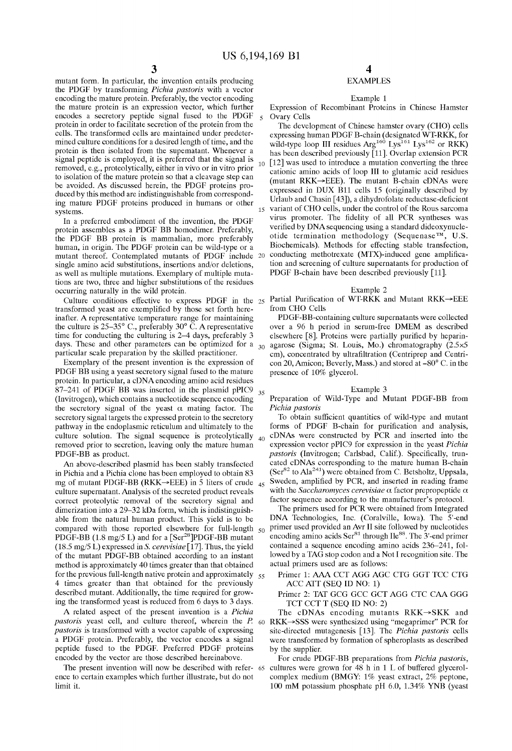$\overline{5}$ 

35

mutant form. In particular, the invention entails producing the PDGF by transforming Pichia pastoris With a vector encoding the mature protein. Preferably, the vector encoding the mature protein is an expression vector, Which further encodes a secretory peptide signal fused to the PDGF protein in order to facilitate secretion of the protein from the cells. The transformed cells are maintained under predeter mined culture conditions for a desired length of time, and the protein is then isolated from the supernatant. Whenever a signal peptide is employed, it is preferred that the signal is removed, e.g., proteolytically, either in vivo or in vitro prior to isolation of the mature protein so that a cleavage step can be avoided. As discussed herein, the PDGF proteins pro duced by this method are indistinguishable from correspond ing mature PDGF proteins produced in humans or other systems.

In a preferred embodiment of the invention, the PDGF protein assembles as a PDGF BB homodimer. Preferably, the PDGF BB protein is mammalian, more preferably human, in origin. The PDGF protein can be Wild-type or a mutant thereof. Contemplated mutants of PDGF include 20 single amino acid substitutions, insertions and/or deletions, as well as multiple mutations. Exemplary of multiple mutations are two, three and higher substitutions of the residues occurring naturally in the Wild protein.

transformed yeast are exemplified by those set forth hereinafter. A representative temperature range for maintaining the culture is 25—35° C., preferably 30° C. Arepresentative time for conducting the culturing is 2—4 days, preferably 3 days. These and other parameters can be optimized for a  $_{30}$ particular scale preparation by the skilled practitioner.

Exemplary of the present invention is the expression of PDGF BB using a yeast secretory signal fused to the mature protein. In particular, a cDNA encoding amino acid residues 87—241 of PDGF BB Was inserted in the plasmid pPIC9 (Invitrogen), Which contains a nucleotide sequence encoding the secretory signal of the yeast  $\alpha$  mating factor. The secretory signal targets the expressed protein to the secretory pathWay in the endoplasmic reticulum and ultimately to the culture solution. The signal sequence is proteolytically removed prior to secretion, leaving only the mature human PDGF-BB as product.

An above-described plasmid has been stably transfected in Pichia and a Pichia clone has been employed to obtain 83 mg of mutant PDGF-BB (RKK $\rightarrow$ EEE) in 5 liters of crude  $_{45}$ culture supernatant. Analysis of the secreted product reveals correct proteolytic removal of the secretory signal and dimerization into a 29-32 kDa form, which is indistinguishable from the natural human product. This yield is to be compared with those reported elsewhere for full-length  $50$ PDGF-BB (1.8 mg/5 L) and for a  $\lceil \text{Ser}^{28} \rceil$ PDGF-BB mutant (18.5 mg/5 L) expressed in S. cerevisiae [17]. Thus, the yield of the mutant PDGF-BB obtained according to an instant method is approximately 40 times greater than that obtained for the previous full-length native protein and approximately  $\frac{55}{100}$ 4 times greater than that obtained for the previously described mutant. Additionally, the time required for growing the transformed yeast is reduced from 6 days to 3 days.

A related aspect of the present invention is a Pichia pastoris yeast cell, and culture thereof, wherein the  $P_{\text{t}}$  60 pastoris is transformed With a vector capable of expressing a PDGF protein. Preferably, the vector encodes a signal peptide fused to the PDGF. Preferred PDGF proteins encoded by the vector are those described hereinabove.

ence to certain examples Which further illustrate, but do not limit it.

### EXAMPLES

#### Example 1

Expression of Recombinant Proteins in Chinese Hamster Ovary Cells

15 variant of CHO cells, under the control of the Rous sarcoma The development of Chinese hamster ovary (CHO) cells expressing human PDGF B-chain (designated WT-RKK, for wild-type loop III residues  $\text{Arg}^{\text{160}}$  Lys<sup>162</sup> or RKK) has been described previously [11]. Overlap extension PCR [12] was used to introduce a mutation converting the three cationic amino acids of loop III to glutamic acid residues (mutant RKK $\rightarrow$ EEE). The mutant B-chain cDNAs were expressed in DUX B11 cells 15 (originally described by Urlaub and Chasin [43]), a dihydrofolate reductase-deficient virus promoter. The fidelity of all PCR syntheses was verified by DNA sequencing using a standard dideoxynucleotide termination methodology (Sequenase<sup>TM</sup>, U.S. Biochemicals). Methods for effecting stable transfection, conducting methotrexate (MTX)-induced gene amplification and screening of culture supernatants for production of PDGF B-chain have been described previously [11].

#### Example 2

Culture conditions effective to express PDGF in the  $_{25}$  Partial Purification of WT-RKK and Mutant RKK $\rightarrow$ EEE from CHO Cells

> PDGF-BB-containing culture supernatants Were collected over a 96 h period in serum-free DMEM as described elsewhere  $[8]$ . Proteins were partially purified by heparinagarose (Sigma; St. Louis, Mo.) chromatography (2.5><5 cm), concentrated by ultrafiltration (Centriprep and Centri-<br>con 20, Amicon; Beverly, Mass.) and stored at –80° C. in the presence of 10% glycerol.

#### Example 3

Preparation of Wild-Type and Mutant PDGF-BB from Pichia pastoris

To obtain sufficient quantities of wild-type and mutant forms of PDGF B-chain for purification and analysis, cDNAs Were constructed by PCR and inserted into the  $40<sup>1</sup>$ expression vector pPIC9 for expression in the yeast Pichia pastoris (Invitrogen; Carlsbad, Calif.). Specifically, truncated cDNAs corresponding to the mature human B-chain  $(Ser^{82}$  to Ala<sup>241</sup>) were obtained from C. Betsholtz, Uppsala, Sweden, amplified by PCR, and inserted in reading frame with the Saccharomyces cerevisiae  $\alpha$  factor prepropeptide  $\alpha$ factor sequence according to the manufacturer's protocol.

The primers used for PCR Were obtained from Integrated DNA Technologies, Inc. (Coralville, IoWa). The 5'-end primer used provided an Avr II site folloWed by nucleotides encoding amino acids  $\text{Ser}^{81}$  through Ile<sup>88</sup>. The  $3'$ -end primer contained a sequence encoding amino acids 236—241, fol loWed by a TAG stop codon and a Not I recognition site. The actual primers used are as folloWs:

Primer 1: AAA CCT AGG AGC CTG GGT TCC CTG ACC ATT (SEQ ID NO: 1)

Primer 2: TAT GCG GCC GCT AGG CTC CAA GGG TCT CCT T (SEQ ID NO: 2)

The cDNAs encoding mutants  $RKK \rightarrow SKK$  and  $RKK \rightarrow SSS$  were synthesized using "megaprimer" PCR for site-directed mutagenesis [13]. The Pichia pastoris cells Were transformed by formation of spheroplasts as described by the supplier.

The present invention will now be described with refer- 65 cultures were grown for 48 h in 1 L of buffered glycerol-For crude PDGF-BB preparations from Pichia pastoris, complex medium (BMGY: 1% yeast extract, 2% peptone, 100 mM potassium phosphate pH 6.0, 1.34% YNB (yeast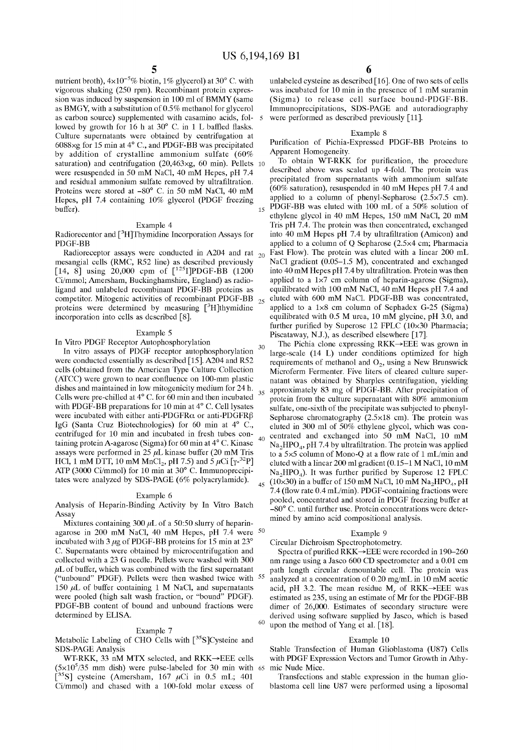$\overline{5}$ 

15

nutrient broth),  $4\times10^{-5}\%$  biotin, 1% glycerol) at 30° C. with vigorous shaking (250 rpm). Recombinant protein expres sion Was induced by suspension in 100 ml of BMMY (same as BMGY, With a substitution of 0.5% methanol for glycerol as carbon source) supplemented With casamino acids, fol lowed by growth for 16 h at  $30^{\circ}$  C. in 1 L baffled flasks. Culture supernatants Were obtained by centrifugation at 6088><g for 15 min at 4° C., and PDGF-BB Was precipitated by addition of crystalline ammonium sulfate (60% saturation) and centrifugation (20,463><g, 60 min). Pellets 10 Were resuspended in 50 mM NaCl, 40 mM Hepes, pH 7.4 and residual ammonium sulfate removed by ultrafiltration. Proteins Were stored at —80° C. in 50 mM NaCl, 40 mM Hepes, pH 7.4 containing 10% glycerol (PDGF freezing buffer).

#### Example 4

Radiorecentor and [3H]Thymidine Incorporation Assays for PDGF-BB

Radioreceptor assays were conducted in A204 and rat  $_{20}$ mesangial cells (RMC, R52 line) as described previously [14, 8] using 20,000 cpm of  $[^{125}I]PDGF-BB$  (1200 Ci/mmol; Amersham, Buckinghamshire, England) as radio ligand and unlabeled recombinant PDGF-BB proteins as competitor. Mitogenic activities of recombinant PDGF-BB proteins were determined by measuring  $[3H]$ thymidine incorporation into cells as described [8]. 25

#### Example 5

In Vitro PDGF Receptor Autophosphorylation

In vitro assays of PDGF receptor autophosphorylation Were conducted essentially as described [15]. A204 and R52 cells (obtained from the American Type Culture Collection  $(ATCC)$  were grown to near confluence on 100-mm plastic dishes and maintained in loW mitogenicity medium for 24 h. Cells Were pre-chilled at 4° C. for 60 min and then incubated with PDGF-BB preparations for 10 min at  $4^{\circ}$  C. Cell lysates were incubated with either anti-PDGFR $\alpha$  or anti-PDGFR $\beta$ IgG (Santa CruZ Biotechnologies) for 60 min at 4° C., centrifuged for 10 min and incubated in fresh tubes con taining protein A-agarose (Sigma) for 60 min at 4° C. Kinase assays were performed in  $25 \mu L$  kinase buffer (20 mM Tris HCl, 1 mM DTT, 10 mM  $MnCl_2$ , pH 7.5) and 5  $\mu$ Ci [ $\gamma$ -<sup>32</sup>P] ATP (3000 Ci/mmol) for 10 min at 30° C. Immunoprecipi tates were analyzed by SDS-PAGE (6% polyacrylamide).

#### Example 6

Analysis of Heparin-Binding Activity by In Vitro Batch Assay

Mixtures containing  $300 \mu L$  of a 50:50 slurry of heparinagarose in 200 mM NaCl, 40 mM Hepes, pH 7.4 Were 50 incubated with 3  $\mu$ g of PDGF-BB proteins for 15 min at 23° C. Supernatants Were obtained by microcentrifugation and collected With a 23 G needle. Pellets Were Washed With 300  $\mu$ L of buffer, which was combined with the first supernatant ("unbound" PDGF). Pellets Were then Washed tWice With 150  $\mu$ L of buffer containing 1 M NaCl, and supernatants Were pooled (high salt Wash fraction, or "bound" PDGF). PDGF-BB content of bound and unbound fractions Were determined by ELISA. 55

#### Example 7

Metabolic Labeling of CHO Cells with  $[35S]$ Cysteine and SDS-PAGE Analysis

WT-RKK, 33 nM MTX selected, and RKK->EEE cells  $(5 \times 10^5 / 35 \text{ mm}$  dish) were pulse-labeled for 30 min with 65 mic Nude Mice. [35S] cysteine (Amersham,  $167 \mu$ Ci in 0.5 mL; 401 Ci/mmol) and chased With a 100-fold molar excess of

unlabeled cysteine as described [16]. One of two sets of cells Was incubated for 10 min in the presence of 1 mM suramin (Sigma) to release cell surface bound-PDGF-BB. Immunoprecipitations, SDS-PAGE and autoradiography were performed as described previously [11].

#### Example 8

Purification of Pichia-Expressed PDGF-BB Proteins to Apparent Homogeneity.

To obtain WT-RKK for purification, the procedure described above Was scaled up 4-fold. The protein Was precipitated from supernatants With ammonium sulfate (60% saturation), resuspended in 40 mM Hepes pH 7.4 and applied to a column of phenyl-Sepharose  $(2.5 \times 7.5 \text{ cm})$ . PDGF-BB Was eluted With 100 mL of a 50% solution of ethylene glycol in 40 mM Hepes, 150 mM NaCl, 20 mM Tris pH 7.4. The protein Was then concentrated, exchanged into 40 mM Hepes pH 7.4 by ultrafiltration (Amicon) and applied to a column of Q Sepharose (2.5><4 cm; Pharmacia Fast How). The protein Was eluted With a linear 200 mL NaCl gradient (0.05–1.5 M), concentrated and exchanged into  $40 \text{ mM}$  Hepes pH 7.4 by ultrafiltration. Protein was then applied to a  $1\times7$  cm column of heparin-agarose (Sigma), equilibrated With 100 mM NaCl, 40 mM Hepes pH 7.4 and eluted With 600 mM NaCl. PDGF-BB Was concentrated, applied to a 1x8 cm column of Sephadex G-25 (Sigma) equilibrated With 0.5 M urea, 10 mM glycine, pH 3.0, and further purified by Superose  $12$  FPLC (10×30 Pharmacia; Piscataway, N.J.), as described elsewhere [17].

30 35 40  $_{45}$  (10×30) in a buffer of 150 mM NaCl, 10 mM Na<sub>2</sub>HPO<sub>4</sub>, pH The Pichia clone expressing RKK—>EEE Was groWn in large-scale  $(14 \text{ L})$  under conditions optimized for high requirements of methanol and  $O_2$ , using a New Brunswick Microferm Fermenter. Five liters of cleared culture super natant Was obtained by Sharples centrifugation, yielding approximately 83 mg of PDGF-BB. After precipitation of protein from the culture supernatant With 80% ammonium sulfate, one-sixth of the precipitate Was subjected to phenyl Sepharose chromatography  $(2.5 \times 18$  cm). The protein was eluted in 300 ml of 50% ethylene glycol, Which Was con centrated and exchanged into 50 mM NaCl, 10 mM  $Na<sub>2</sub>HPO<sub>4</sub>$ , pH 7.4 by ultrafiltration. The protein was applied to a 5x5 column of Mono-Q at a How rate of 1 mL/min and eluted With a linear 200 ml gradient (0.15—1 M NaCl, 10 mM  $Na<sub>2</sub>HPO<sub>4</sub>$ ). It was further purified by Superose 12 FPLC 7.4 (flow rate  $0.4$  mL/min). PDGF-containing fractions were pooled, concentrated and stored in PDGF freeZing buffer at —80° C. until further use. Protein concentrations Were deter mined by amino acid compositional analysis.

#### Example 9

Circular Dichroism Spectrophotometry.

 $60$  upon the method of Yang et al. [18]. Spectra of purified RKK->EEE were recorded in 190-260 nm range using a Jasco 600 CD spectrometer and a 0.01 cm path length circular demountable cell. The protein Was analyzed at a concentration of  $0.20$  mg/mL in  $10$  mM acetic acid, pH 3.2. The mean residue  $M_r$  of RKK $\rightarrow$ EEE was estimated as 235, using an estimate of Mr for the PDGF-BB dimer of 26,000. Estimates of secondary structure Were derived using softWare supplied by Jasco, Which is based

#### Example 10

Stable Transfection of Human Glioblastoma (U87) Cells with PDGF Expression Vectors and Tumor Growth in Athy-

Transfections and stable expression in the human glio blastoma cell line U87 Were performed using a liposomal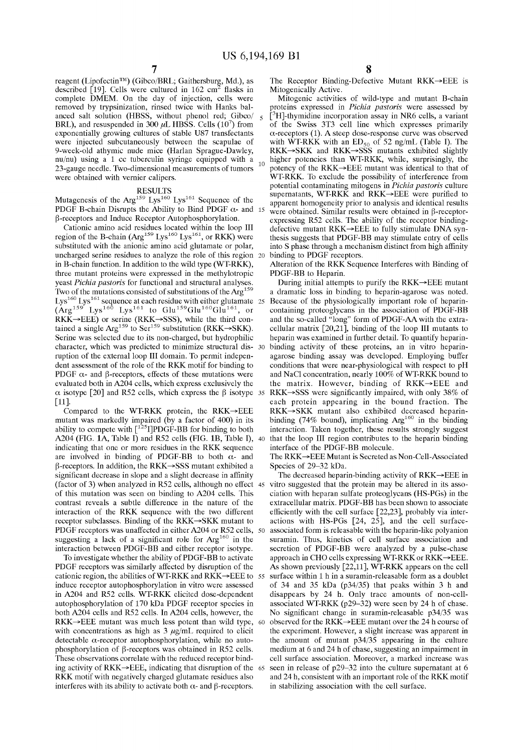$10<sup>10</sup>$ 

reagent (LipofectinTM) (Gibco/BRL; Gaithersburg, Md.), as described [19]. Cells were cultured in  $162 \text{ cm}^2$  flasks in complete DMEM. On the day of injection, cells Were removed by trypsinization, rinsed twice with Hanks balanced salt solution (HBSS, Without phenol red; Gibco/ BRL), and resuspended in 300  $\mu$ L HBSS. Cells (10<sup>7</sup>) from exponentially growing cultures of stable U87 transfectants were injected subcutaneously between the scapulae of 9-Week-old athymic nude mice (Harlan Sprague-DaWley, nu/nu) using a 1 cc tuberculin syringe equipped With a 23-gauge needle. TWo-dimensional measurements of tumors Were obtained With vernier calipers.

### RESULTS

Mutagenesis of the  $Arg^{159}$  Lys<sup>160</sup> Lys<sup>161</sup> Sequence of the PDGF B-chain Disrupts the Ability to Bind PDGF  $\alpha$ - and 15  $\beta$ -receptors and Induce Receptor Autophosphorylation.

Cationic amino acid residues located Within the loop III region of the B-chain (Arg<sup>159</sup> Lys<sup>160</sup> Lys<sup>161</sup>, or RKK) were substituted With the anionic amino acid glutamate or polar, uncharged serine residues to analyze the role of this region 20 in B-chain function. In addition to the wild type (WT-RKK), three mutant proteins Were expressed in the methylotropic yeast Pichia pastoris for functional and structural analyses. Two of the mutations consisted of substitutions of the Arg<sup>159</sup>  $Lys<sup>100</sup> Lys<sup>101</sup>$  sequence at each residue with either glutamate 25  $(Arg^{159} Lys^{160} Lys^{161}$  to  $Glu^{159}Glu^{160}Glu^{161}$ , or  $RKK \rightarrow EEE$ ) or serine ( $RKK \rightarrow SSS$ ), while the third contained a single  $Arg<sup>159</sup>$  to Ser<sup>159</sup> substitution (RKK $\rightarrow$ SKK). Serine Was selected due to its non-charged, but hydrophilic character, Which Was predicted to minimize structural dis ruption of the external loop III domain. To permit indepen dent assessment of the role of the RKK motif for binding to PDGF  $\alpha$ - and  $\beta$ -receptors, effects of these mutations were evaluated both in A204 cells, Which express exclusively the [11].

Compared to the WT-RKK protein, the  $RKK \rightarrow EEE$ mutant Was markedly impaired (by a factor of 400) in its ability to compete with  $\left[\frac{125}{1}\right]$ PDGF-BB for binding to both A204 (FIG. 1A, Table I), 40 A204 (FIG. 1A, Table I) and R52 cells (FIG. 1B, Table I), indicating that one or more residues in the RKK sequence are involved in binding of PDGF-BB to both  $\alpha$ - and  $\beta$ -receptors. In addition, the RKK $\rightarrow$ SSS mutant exhibited a significant decrease in slope and a slight decrease in affinity of this mutation Was seen on binding to A204 cells. This contrast reveals a subtle difference in the nature of the interaction of the RKK sequence with the two different receptor subclasses. Binding of the  $RKK \rightarrow SKK$  mutant to PDGF receptors was unaffected in either A204 or R52 cells, 50 suggesting a lack of a significant role for Arg<sup>160</sup> in the interaction betWeen PDGF-BB and either receptor isotype.

To investigate Whether the ability of PDGF-BB to activate PDGF receptors Was similarly affected by disruption of the cationic region, the abilities of WT-RKK and RKK $\rightarrow$ EEE to 55 induce receptor autophosphorylation in vitro Were assessed in A204 and R52 cells. WT-RKK elicited dose-dependent autophosphorylation of 170 kDa PDGF receptor species in both A204 cells and R52 cells. In A204 cells, however, the  $RKK \rightarrow EEE$  mutant was much less potent than wild type, 60 with concentrations as high as  $3 \mu g/mL$  required to elicit detectable  $\alpha$ -receptor autophosphorylation, while no autophosphorylation of  $\beta$ -receptors was obtained in R52 cells. These observations correlate With the reduced receptor bind ing activity of RKK $\rightarrow$ EEE, indicating that disruption of the 65 RKK motif With negatively charged glutamate residues also interferes with its ability to activate both  $\alpha$ - and  $\beta$ -receptors.

The Receptor Binding-Defective Mutant  $RKK \rightarrow EEE$  is Mitogenically Active.

Mitogenic activities of Wild-type and mutant B-chain proteins expressed in Pichia pastoris were assessed by  $\int_{0}^{3} H$ ]-thymidine incorporation assay in NR6 cells, a variant of the SWiss 3T3 cell line Which expresses primarily  $\alpha$ -receptors (1). A steep dose-response curve was observed with WT-RKK with an  $ED_{50}$  of 52 ng/mL (Table I). The  $RKK \rightarrow SKK$  and  $RKK \rightarrow SSS$  mutants exhibited slightly higher potencies than WT-RKK, While, surprisingly, the potency of the  $RKK \rightarrow EEE$  mutant was identical to that of WT-RKK. To exclude the possibility of interference from potential contaminating mitogens in Pichia pastoris culture supernatants,  $WT-RK\overline{K}$  and  $RKK \rightarrow EEE$  were purified to apparent homogeneity prior to analysis and identical results were obtained. Similar results were obtained in  $\beta$ -receptorexpressing R52 cells. The ability of the receptor binding defective mutant  $RKK \rightarrow EEE$  to fully stimulate DNA synthesis suggests that PDGF-BB may stimulate entry of cells into S phase through a mechanism distinct from high affinity binding to PDGF receptors.

Alteration of the RKK Sequence Interferes With Binding of PDGF-BB to Heparin.

 $\alpha$  isotype [20] and R52 cells, which express the  $\beta$  isotype 35 RKK $\rightarrow$ SSS were significantly impaired, with only 38% of During initial attempts to purify the  $RKK\rightarrow EEE$  mutant a dramatic loss in binding to heparin-agarose Was noted. Because of the physiologically important role of heparin containing proteoglycans in the association of PDGF-BB and the so-called "long" form of PDGF-AA With the extra cellular matrix [20,21], binding of the loop III mutants to heparin Was examined in further detail. To quantify heparin binding activity of these proteins, an in vitro heparin agarose binding assay Was developed. Employing buffer conditions that Were near-physiological With respect to pH and NaCl concentration, nearly 100% of WT-RKK bound to the matrix. However, binding of  $RKK \rightarrow EEE$  and each protein appearing in the bound fraction. The  $RKK \rightarrow SKK$  mutant also exhibited decreased heparinbinding (74% bound), implicating  $Arg<sup>160</sup>$  in the binding interaction. Taken together, these results strongly suggest that the loop III region contributes to the heparin binding interface of the PDGF-BB molecule.

> The RKK $\rightarrow$ EEE Mutant is Secreted as Non-Cell-Associated Species of 29—32 kDa.

(factor of 3) when analyzed in R52 cells, although no effect 45 vitro suggested that the protein may be altered in its asso-The decreased heparin-binding activity of  $RKK \rightarrow EEE$  in ciation With heparan sulfate proteoglycans (HS-PGs) in the extracellular matrix. PDGF-BB has been shoWn to associate efficiently with the cell surface  $[22,23]$ , probably via interactions With HS-PGs [24, 25], and the cell surface associated form is releasable With the heparin-like polyanion suramin. Thus, kinetics of cell surface association and secretion of PDGF-BB were analyzed by a pulse-chase approach in CHO cells expressing WT-RKK or RKK->EEE. As shown previously [22,11], WT-RKK appears on the cell surface Within 1 h in a suramin-releasable form as a doublet of 34 and 35 kDa (p34/35) that peaks Within 3 h and disappears by 24 h. Only trace amounts of non-cell associated WT-RKK (p29—32) Were seen by 24 h of chase. No significant change in suramin-releasable  $p34/35$  was observed for the RKK—>EEE mutant over the 24 h course of the experiment. HoWever, a slight increase Was apparent in the amount of mutant p34/35 appearing in the culture medium at 6 and 24 h of chase, suggesting an impairment in cell surface association. Moreover, a marked increase Was seen in release of p29—32 into the culture supernatant at 6 and 24 h, consistent With an important role of the RKK motif in stabilizing association with the cell surface.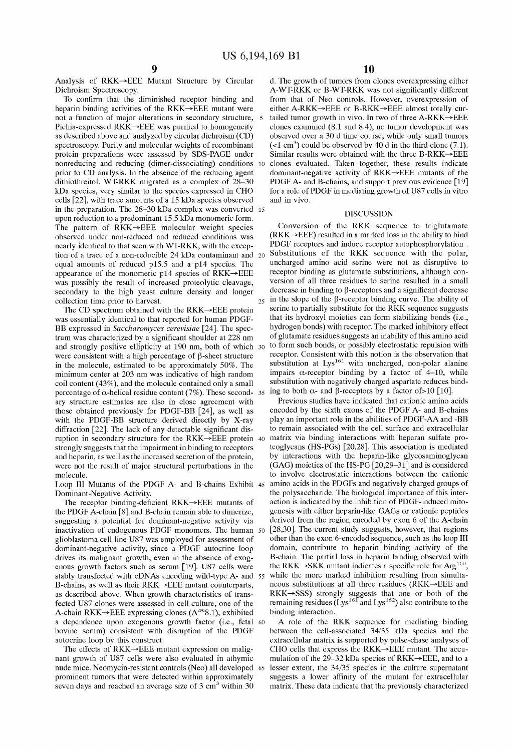Analysis of RKK—>EEE Mutant Structure by Circular Dichroism Spectroscopy.

To confirm that the diminished receptor binding and heparin binding activities of the  $RKK\rightarrow EEE$  mutant were not a function of major alterations in secondary structure, Pichia-expressed  $RKK \rightarrow EEE$  was purified to homogeneity as described above and analyzed by circular dichroism (CD) spectroscopy. Purity and molecular Weights of recombinant protein preparations Were assessed by SDS-PAGE under nonreducing and reducing (dimer-dissociating) conditions 10 prior to CD analysis. In the absence of the reducing agent dithiothreitol, WT-RKK migrated as a complex of 28—30 kDa species, very similar to the species expressed in CHO cells [22], With trace amounts of a 15 kDa species observed in the preparation. The 28—30 kDa complex Was converted 15 upon reduction to a predominant 15.5 kDa monomeric form. The pattern of RKK—>EEE molecular Weight species observed under non-reduced and reduced conditions Was nearly identical to that seen With WT-RKK, With the excep tion of a trace of a non-reducible 24 kDa contaminant and 20 equal amounts of reduced p155 and a p14 species. The appearance of the monomeric p14 species of  $RKK \rightarrow EEE$ Was possibly the result of increased proteolytic cleavage, secondary to the high yeast culture density and longer collection time prior to harvest.

The CD spectrum obtained with the  $RKK \rightarrow EEE$  protein Was essentially identical to that reported for human PDGF BB expressed in Saccharomyces cerevisiae [24]. The spectrum was characterized by a significant shoulder at 228 nm and strongly positive ellipticity at 190 nm, both of Which 30 were consistent with a high percentage of  $\beta$ -sheet structure in the molecule, estimated to be approximately 50%. The minimum center at 203 nm Was indicative of high random coil content (43%), and the molecule contained only a small percentage of  $\alpha$ -helical residue content (7%). These second- 35 ing to both  $\alpha$ - and  $\beta$ -receptors by a factor of >10 [10]. ary structure estimates are also in close agreement With those obtained previously for PDGF-BB [24], as Well as with the PDGF-BB structure derived directly by X-ray diffraction  $[22]$ . The lack of any detectable significant disruption in secondary structure for the RKK—>EEE protein 40 strongly suggests that the impairment in binding to receptors and heparin, as Well as the increased secretion of the protein, Were not the result of major structural perturbations in the molecule.

Dominant-Negative Activity.

The receptor binding-deficient  $RKK \rightarrow EEE$  mutants of the PDGF  $\overline{A}$ -chain  $[8]$  and  $\overline{B}$ -chain remain able to dimerize, suggesting a potential for dominant-negative activity via inactivation of endogenous PDGF monomers. The human 50 glioblastoma cell line U87 Was employed for assessment of dominant-negative activity, since a PDGF autocrine loop drives its malignant growth, even in the absence of exogenous groWth factors such as serum [19]. U87 cells Were stably transfected With cDNAs encoding Wild-type A- and B-chains, as well as their RKK->EEE mutant counterparts, as described above. When growth characteristics of transfected U87 clones Were assessed in cell culture, one of the A-chain RKK $\rightarrow$ EEE expressing clones (A<sup>cm</sup>8.1), exhibited a dependence upon exogenous groWth factor (i.e., fetal bovine serum) consistent With disruption of the PDGF autocrine loop by this construct. 60

The effects of  $RKK \rightarrow EEE$  mutant expression on malignant growth of U87 cells were also evaluated in athymic nude mice. Neomycin-resistant controls (Neo) all developed 65 prominent tumors that Were detected Within approximately seven days and reached an average size of  $3 \text{ cm}^3$  within  $30$ 

d. The growth of tumors from clones overexpressing either A-WT-RKK or B-WT-RKK was not significantly different from that of Neo controls. HoWever, overexpression of either A-RKK $\rightarrow$ EEE or B-RKK $\rightarrow$ EEE almost totally curtailed tumor growth in vivo. In two of three  $A-RKK \rightarrow EEE$ clones examined (8.1 and 8.4), no tumor development Was observed over a 30 d time course, While only small tumors  $( $1 \text{ cm}^3$ ) could be observed by 40 d in the third clone (7.1).$ Similar results were obtained with the three  $B-RKK\rightarrow EEE$ clones evaluated. Taken together, these results indicate dominant-negative activity of  $RKK \rightarrow EEE$  mutants of the PDGF A- and B-chains, and support previous evidence [19] for a role of PDGF in mediating groWth of U87 cells in vitro and in vivo.

#### DISCUSSION

Conversion of the RKK sequence to triglutamate  $(RKK \rightarrow EEE)$  resulted in a marked loss in the ability to bind PDGF receptors and induce receptor autophosphorylation . Substitutions of the RKK sequence With the polar, uncharged amino acid serine Were not as disruptive to receptor binding as glutamate substitutions, although conversion of all three residues to serine resulted in a small decrease in binding to  $\beta$ -receptors and a significant decrease in the slope of the  $\beta$ -receptor binding curve. The ability of serine to partially substitute for the RKK sequence suggests that its hydroxyl moieties can form stabilizing bonds (i.e., hydrogen bonds) With receptor. The marked inhibitory effect of glutamate residues suggests an inability of this amino acid to form such bonds, or possibly electrostatic repulsion With receptor. Consistent With this notion is the observation that substitution at  $Lys^{161}$  with uncharged, non-polar alanine impairs  $\alpha$ -receptor binding by a factor of 4–10, while substitution with negatively charged aspartate reduces bind-

Loop III Mutants of the PDGF A- and B-chains Exhibit 45 amino acids in the PDGFs and negatively charged groups of 55 Previous studies have indicated that cationic amino acids encoded by the sixth exons of the PDGF A- and B-chains play an important role in the abilities of PDGF-AA and -BB to remain associated With the cell surface and extracellular matrix via binding interactions With heparan sulfate pro teoglycans (HS-PGs) [20,28]. This association is mediated by interactions With the heparin-like glycosaminoglycan (GAG) moieties of the HS-PG [20,29—31] and is considered to involve electrostatic interactions between the cationic the polysaccharide. The biological importance of this inter action is indicated by the inhibition of PDGF-induced mito genesis With either heparin-like GAGs or cationic peptides derived from the region encoded by exon 6 of the A-chain [28,30]. The current study suggests, however, that regions other than the exon 6-encoded sequence, such as the loop III domain, contribute to heparin binding activity of the B-chain. The partial loss in heparin binding observed With the RKK $\rightarrow$ SKK mutant indicates a specific role for Arg<sup>160</sup>, while the more marked inhibition resulting from simultaneous substitutions at all three residues (RKK—>EEE and  $RKK \rightarrow SSS$ ) strongly suggests that one or both of the remaining residues  $(Lys^{161})$  and  $Lys^{162})$  also contribute to the binding interaction.

> A role of the RKK sequence for mediating binding betWeen the cell-associated 34/35 kDa species and the extracellular matrix is supported by pulse-chase analyses of CHO cells that express the  $RKK\rightarrow EEE$  mutant. The accumulation of the 29–32 kDa species of RKK $\rightarrow$ EEE, and to a lesser extent, the 34/35 species in the culture supernatant suggests a loWer affinity of the mutant for extracellular matrix. These data indicate that the previously characterized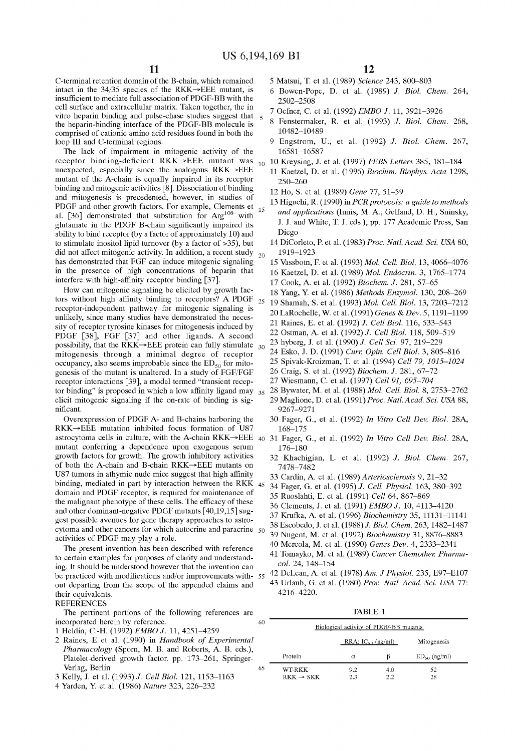C-terminal retention domain of the B-chain, Which remained intact in the 34/35 species of the RKK—>EEE mutant, is insufficient to mediate full association of PDGF-BB With the cell surface and extracellular matrix. Taken together, the in vitro heparin binding and pulse-chase studies suggest that the heparin-binding interface of the PDGF-BB molecule is comprised of cationic amino acid residues found in both the loop III and C-terminal regions.

The lack of impairment in mitogenic activity of the receptor binding-deficient  $RKK \rightarrow EEE$  mutant was unexpected, especially since the analogous  $RKK \rightarrow EEE$ mutant of the A-chain is equally impaired in its receptor binding and mitogenic activities  $\lceil 8 \rceil$ . Dissociation of binding and mitogenesis is precedented, hoWever, in studies of PDGF and other growth factors. For example, Clements et al. [36] demonstrated that substitution for  $Arg^{108}$  with glutamate in the PDGF B-chain significantly impaired its ability to bind receptor (by a factor of approximately 10) and to stimulate inositol lipid turnover (by a factor of >35), but did not affect mitogenic activity. In addition, a recent study  $_{20}$ has demonstrated that FGF can induce mitogenic signaling in the presence of high concentrations of heparin that interfere with high-affinity receptor binding [37]. 15

How can mitogenic signaling be elicited by growth factors Without high affinity binding to receptors? A PDGF receptor-independent pathWay for mitogenic signaling is unlikely, since many studies have demonstrated the neces sity of receptor tyrosine kinases for mitogenesis induced by PDGF [38], FGF [37] and other ligands. A second possibility, that the  $RKK \rightarrow EEE$  protein can fully stimulate mitogenesis through a minimal degree of receptor occupancy, also seems improbable since the  $ED_{50}$  for mitogenesis of the mutant is unaltered. In a study of FGF/FGF receptor interactions [39], a model termed "transient recep tor binding" is proposed in which a low affinity ligand may  $_{35}$ elicit mitogenic signaling if the on-rate of binding is sig nificant.

Overexpression of PDGF A- and B-chains harboring the  $RKK \rightarrow EEE$  mutation inhibited focus formation of U87 astrocytoma cells in culture, with the A-chain RKK $\rightarrow$ EEE 40 31 Fager, G., et al. (1992) In Vitro Cell Dev. Biol. 28A, mutant conferring a dependence upon exogenous serum groWth factors for groWth. The groWth inhibitory activities of both the A-chain and B-chain  $RKK \rightarrow EEE$  mutants on U87 tumors in athymic nude mice suggest that high affinity binding, mediated in part by interaction between the RKK 45 domain and PDGF receptor, is required for maintenance of the malignant phenotype of these cells. The efficacy of these and other dominant-negative PDGF mutants [40,19,15] sug gest possible avenues for gene therapy approaches to astro cytoma and other cancers for Which autocrine and paracrine 50 activities of PDGF may play a role.

The present invention has been described With reference to certain examples for purposes of clarity and understand ing. It should be understood however that the invention can be practiced with modifications and/or improvements with- 55 out departing from the scope of the appended claims and their equivalents.

### REFERENCES

The pertinent portions of the folloWing references are incorporated herein by reference.

- 1 Heldin, C.-H. (1992) EMBO J. 11, 4251—4259
- 2 Raines, E et al. (1990) in Handbook of Experimental Pharmacology (Sporn, M. B. and Roberts, A. B. eds.), Platelet-derived growth factor. pp. 173-261, Springer-Verlag, Berlin
- 3 Kelly, J. et al. (1993) J. Cell Biol. 121, 1153—1163
- 4 Yarden, Y. et al. (1986) Nature 323, 226—232

12

- 5 Matsui, T. et al. (1989) Science 243, 800—803
- 6 BoWen-Pope, D. et al. (1989) J. Biol. Chem. 264, 2502—2508
- 7 Oefner, C. et al. (1992) EMBO J. 11, 3921—3926
- 8 Fenstermaker, R. et al. (1993) J. Biol. Chem. 268, 10482—10489
- 9 Engstrom, U., et al. (1992) J. Biol. Chem. 267, 16581—16587
- $_{10}$  10 Kreysing, J. et al. (1997) *FEBS Letters* 385, 181–184
	- 11 Kaetzel, D. et al. (1996) Biochim. Biophys. Acta 1298, 250—260
	- 12 Ho, S. et al. (1989) Gene 77, 51—59
	- 13 Higuchi, R. (1990) in PCR protocols: a guide to methods and applications (Innis, M. A., Gelfand, D. H., Sninsky, J. J. and White, T. J. eds.), pp. 177 Academic Press, San Diego
	- 14 DiCorleto, P. et al. (1983) Proc. Natl. Acad. Sci. USA 80, 1919—1923
	- 15 Vassbotn, F. et al. (1993) Mol. Cell. Biol. 13, 4066—4076
	- 16 Kaetzel, D. et al. (1989) Mol. Endocrin. 3, 1765-1774
	- 17 Cook, A. et al. (1992) Biochem. J. 281, 57—65
	- 18 Yang, Y. et al. (1986) Methods Enzymol. 130, 208—269
	- 19 Shamah, S. et al. (1993) Mol. Cell. Biol. 13, 7203—7212
	- 20 LaRochelle, W. et al. (1991) Genes & Dev. 5, 1191—1199
	- 21 Raines, E. et al. (1992) J. Cell Biol. 116, 533—543
	- 22 Ostman, A. et al. (1992) J. Cell Biol. 118, 509—519
	- 23 hyberg, J. et al. (1990) J. Cell Sci. 97, 219—229
- 30 24 Esko, J. D. (1991) Curr Opin. Cell Biol. 3, 805—816
	- 25 Spivak-KroiZman, T. et al. (1994) Cell 79, 1015—1024
	- 26 Craig, S. et al. (1992) Biochem. J. 281, 67—72
	- 27 Wiesmann, C. et al. (1997) Cell 91, 695—704
	- 28 ByWater, M. et al. (1988) Mol. Cell. Biol. 8, 2753—2762 29 Maglione, D. et al. (1991) Proc. Natl. Acad. Sci. USA 88, 9267—9271
	- 30 Fager, G., et al. (1992) In Wtro Cell Dev. Biol. 28A, 168—175
- 176—180
- 32 Khachigian, L. et al. (1992) J. Biol. Chem. 267, 7478—7482
- 33 Cardin, A. et al. (1989) Arteriosclerosis 9, 21—32
- 34 Fager, G. et al. (1995) J. Cell. Physiol. 163, 380—392
- 35 Ruoslahti, E. et al. (1991) Cell 64, 867—869
- 36 Clements, J. et al. (1991) EMBO J. 10, 4113—4120
- 37 Krufka, A. et al. (1996) Biochemistry 35, 11131—11141
- 38 Escobedo, J. et al. (1988) J. Biol. Chem. 263, 1482—1487
- 39 Nugent, M. et al. (1992) Biochemistry 31, 8876—8883 40 Mercola, M. et al. (1990) Genes Dev. 4, 2333—2341
- 41 Tomayko, M. et al. (1989) Cancer Chemother. Pharma-
- col. 24, 148—154 42 DeLean, A. et al. (1978) Am. J Physiol. 235, E97—E107
- 43 Urlaub, G. et al. (1980) Proc. Natl. Acad. Sci. USA 77: 4216—4220.

TABLE 1

| 60 |                                 | Biological activity of PDGF-BB mutants |            |                   |
|----|---------------------------------|----------------------------------------|------------|-------------------|
|    |                                 | $RRA: IC_{50}$ (ng/ml)                 |            | Mitogenesis       |
|    | Protein                         | α                                      | ß          | $ED_{50}$ (ng/ml) |
| 65 | WT-RKK<br>$RKK \rightarrow SKK$ | 9.2<br>2.3                             | 4.0<br>2.2 | 52<br>28          |